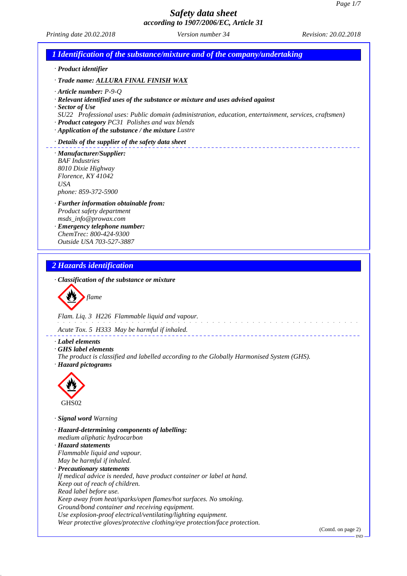*Printing date 20.02.2018 Version number 34 Revision: 20.02.2018*

# *1 Identification of the substance/mixture and of the company/undertaking · Product identifier · Trade name: ALLURA FINAL FINISH WAX · Article number: P-9-Q · Relevant identified uses of the substance or mixture and uses advised against · Sector of Use SU22 Professional uses: Public domain (administration, education, entertainment, services, craftsmen) · Product category PC31 Polishes and wax blends · Application of the substance / the mixture Lustre · Details of the supplier of the safety data sheet · Manufacturer/Supplier: BAF Industries 8010 Dixie Highway Florence, KY 41042 USA phone: 859-372-5900 · Further information obtainable from: Product safety department msds\_info@prowax.com · Emergency telephone number: ChemTrec: 800-424-9300 Outside USA 703-527-3887 2 Hazards identification · Classification of the substance or mixture flame Flam. Liq. 3 H226 Flammable liquid and vapour. Acute Tox. 5 H333 May be harmful if inhaled. · Label elements · GHS label elements The product is classified and labelled according to the Globally Harmonised System (GHS). · Hazard pictograms* GHS02 *· Signal word Warning · Hazard-determining components of labelling: medium aliphatic hydrocarbon · Hazard statements Flammable liquid and vapour. May be harmful if inhaled. · Precautionary statements If medical advice is needed, have product container or label at hand. Keep out of reach of children. Read label before use. Keep away from heat/sparks/open flames/hot surfaces. No smoking. Ground/bond container and receiving equipment. Use explosion-proof electrical/ventilating/lighting equipment. Wear protective gloves/protective clothing/eye protection/face protection.* (Contd. on page 2) IND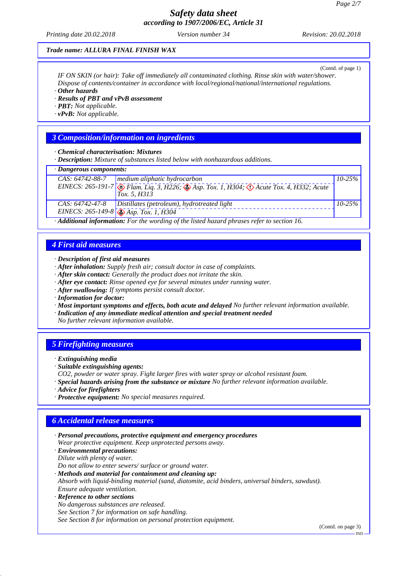*Printing date 20.02.2018 Version number 34 Revision: 20.02.2018*

#### *Trade name: ALLURA FINAL FINISH WAX*

(Contd. of page 1) *IF ON SKIN (or hair): Take off immediately all contaminated clothing. Rinse skin with water/shower. Dispose of contents/container in accordance with local/regional/national/international regulations.*

*· Other hazards*

*· Results of PBT and vPvB assessment*

*· PBT: Not applicable.*

*· vPvB: Not applicable.*

#### *3 Composition/information on ingredients*

*· Chemical characterisation: Mixtures*

*· Description: Mixture of substances listed below with nonhazardous additions.*

## *· Dangerous components:*

| <i>· Dungerous components.</i> |                                                                                                                                  |             |  |  |
|--------------------------------|----------------------------------------------------------------------------------------------------------------------------------|-------------|--|--|
| CAS: 64742-88-7                | $\sqrt{\frac{1}{2}}$ medium aliphatic hydrocarbon                                                                                | $10 - 25\%$ |  |  |
|                                | EINECS: 265-191-7 $\otimes$ Flam. Lig. 3, H226; $\otimes$ Asp. Tox. 1, H304; $\otimes$ Acute Tox. 4, H332; Acute<br>Tox. 5, H313 |             |  |  |
| CAS: 64742-47-8                | $\vert$ Distillates (petroleum), hydrotreated light                                                                              | $10 - 25\%$ |  |  |
|                                | EINECS: 265-149-8 $\sqrt{\sqrt[3]{A_{\text{SD}}}}$ . Tox. 1, H304                                                                |             |  |  |

*· Additional information: For the wording of the listed hazard phrases refer to section 16.*

#### *4 First aid measures*

*· Description of first aid measures*

*· After inhalation: Supply fresh air; consult doctor in case of complaints.*

- *· After skin contact: Generally the product does not irritate the skin.*
- *· After eye contact: Rinse opened eye for several minutes under running water.*
- *· After swallowing: If symptoms persist consult doctor.*
- *· Information for doctor:*
- *· Most important symptoms and effects, both acute and delayed No further relevant information available.*
- *· Indication of any immediate medical attention and special treatment needed*

*No further relevant information available.*

## *5 Firefighting measures*

- *· Extinguishing media*
- *· Suitable extinguishing agents:*
- *CO2, powder or water spray. Fight larger fires with water spray or alcohol resistant foam.*
- *· Special hazards arising from the substance or mixture No further relevant information available.*
- *· Advice for firefighters*
- *· Protective equipment: No special measures required.*

## *6 Accidental release measures*

*· Personal precautions, protective equipment and emergency procedures Wear protective equipment. Keep unprotected persons away.*

*· Environmental precautions: Dilute with plenty of water.*

*Do not allow to enter sewers/ surface or ground water.*

*· Methods and material for containment and cleaning up:*

*Absorb with liquid-binding material (sand, diatomite, acid binders, universal binders, sawdust). Ensure adequate ventilation.*

- *· Reference to other sections*
- *No dangerous substances are released.*

*See Section 7 for information on safe handling.*

*See Section 8 for information on personal protection equipment.*

(Contd. on page 3)

IND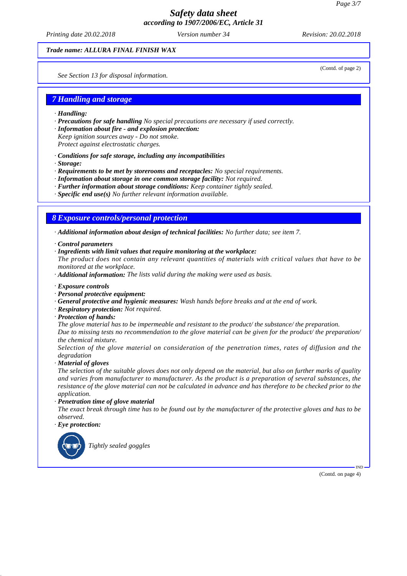*Printing date 20.02.2018 Version number 34 Revision: 20.02.2018*

(Contd. of page 2)

#### *Trade name: ALLURA FINAL FINISH WAX*

*See Section 13 for disposal information.*

#### *7 Handling and storage*

- *· Handling:*
- *· Precautions for safe handling No special precautions are necessary if used correctly.*
- *· Information about fire and explosion protection:*
- *Keep ignition sources away Do not smoke.*
- *Protect against electrostatic charges.*
- *· Conditions for safe storage, including any incompatibilities*
- *· Storage:*
- *· Requirements to be met by storerooms and receptacles: No special requirements.*
- *· Information about storage in one common storage facility: Not required.*
- *· Further information about storage conditions: Keep container tightly sealed.*
- *· Specific end use(s) No further relevant information available.*

#### *8 Exposure controls/personal protection*

*· Additional information about design of technical facilities: No further data; see item 7.*

- *· Control parameters*
- *· Ingredients with limit values that require monitoring at the workplace:*

*The product does not contain any relevant quantities of materials with critical values that have to be monitored at the workplace.*

- *· Additional information: The lists valid during the making were used as basis.*
- *· Exposure controls*
- *· Personal protective equipment:*
- *· General protective and hygienic measures: Wash hands before breaks and at the end of work.*
- *· Respiratory protection: Not required.*
- *· Protection of hands:*

*The glove material has to be impermeable and resistant to the product/ the substance/ the preparation. Due to missing tests no recommendation to the glove material can be given for the product/ the preparation/ the chemical mixture.*

*Selection of the glove material on consideration of the penetration times, rates of diffusion and the degradation*

*· Material of gloves*

*The selection of the suitable gloves does not only depend on the material, but also on further marks of quality and varies from manufacturer to manufacturer. As the product is a preparation of several substances, the resistance of the glove material can not be calculated in advance and has therefore to be checked prior to the application.*

*· Penetration time of glove material*

*The exact break through time has to be found out by the manufacturer of the protective gloves and has to be observed.*

*· Eye protection:*



*Tightly sealed goggles*

(Contd. on page 4)

IND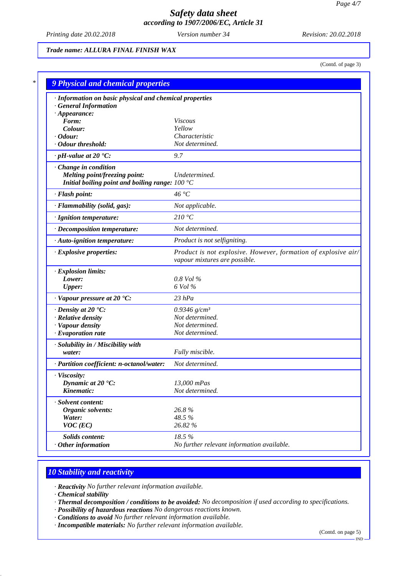*Printing date 20.02.2018 Version number 34 Revision: 20.02.2018*

## *Trade name: ALLURA FINAL FINISH WAX*

(Contd. of page 3)

| · Information on basic physical and chemical properties |                                                                                                 |
|---------------------------------------------------------|-------------------------------------------------------------------------------------------------|
| <b>General Information</b>                              |                                                                                                 |
| $\cdot$ Appearance:<br>Form:                            | <b>Viscous</b>                                                                                  |
| Colour:                                                 | Yellow                                                                                          |
| $\cdot$ Odour:                                          | Characteristic                                                                                  |
| · Odour threshold:                                      | Not determined.                                                                                 |
| $\cdot$ pH-value at 20 $\textdegree$ C:                 | 9.7                                                                                             |
| · Change in condition                                   |                                                                                                 |
| Melting point/freezing point:                           | Undetermined.                                                                                   |
| Initial boiling point and boiling range: $100 °C$       |                                                                                                 |
| · Flash point:                                          | 46 °C                                                                                           |
| · Flammability (solid, gas):                            | Not applicable.                                                                                 |
| · Ignition temperature:                                 | 210 °C                                                                                          |
| · Decomposition temperature:                            | Not determined.                                                                                 |
| · Auto-ignition temperature:                            | Product is not selfigniting.                                                                    |
| · Explosive properties:                                 | Product is not explosive. However, formation of explosive air/<br>vapour mixtures are possible. |
| · Explosion limits:                                     |                                                                                                 |
| Lower:                                                  | $0.8$ Vol $%$                                                                                   |
| <b>Upper:</b>                                           | 6 Vol %                                                                                         |
| $\cdot$ Vapour pressure at 20 $\cdot$ C:                | $23$ $hPa$                                                                                      |
| $\cdot$ Density at 20 $\textdegree$ C:                  | 0.9346 $g/cm^3$                                                                                 |
| · Relative density                                      | Not determined.                                                                                 |
| · Vapour density                                        | Not determined.                                                                                 |
| $\cdot$ Evaporation rate                                | Not determined.                                                                                 |
| · Solubility in / Miscibility with                      |                                                                                                 |
| water:                                                  | Fully miscible.                                                                                 |
| · Partition coefficient: n-octanol/water:               | Not determined.                                                                                 |
| · Viscosity:                                            |                                                                                                 |
| Dynamic at $20^{\circ}$ C:                              | 13,000 mPas                                                                                     |
| Kinematic:                                              | Not determined.                                                                                 |
| · Solvent content:                                      |                                                                                                 |
| Organic solvents:                                       | 26.8%                                                                                           |
| Water:                                                  | 48.5%                                                                                           |
| $VOC$ (EC)                                              | 26.82 %                                                                                         |
| Solids content:                                         | 18.5%                                                                                           |
| $·$ Other information                                   | No further relevant information available.                                                      |

## *10 Stability and reactivity*

*· Reactivity No further relevant information available.*

*· Chemical stability*

- *· Thermal decomposition / conditions to be avoided: No decomposition if used according to specifications.*
- *· Possibility of hazardous reactions No dangerous reactions known.*
- *· Conditions to avoid No further relevant information available.*
- *· Incompatible materials: No further relevant information available.*

(Contd. on page 5)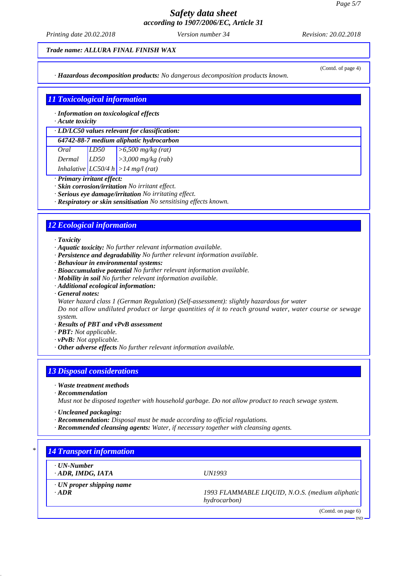*Printing date 20.02.2018 Version number 34 Revision: 20.02.2018*

#### *Trade name: ALLURA FINAL FINISH WAX*

*· Hazardous decomposition products: No dangerous decomposition products known.*

# *11 Toxicological information*

*· Information on toxicological effects*

#### *· Acute toxicity*

*· LD/LC50 values relevant for classification: 64742-88-7 medium aliphatic hydrocarbon*

| 0+7+2+00+7 тешит априанс пуагосагоон |      |                                       |
|--------------------------------------|------|---------------------------------------|
| Oral                                 | LD50 | $\vert$ >6,500 mg/kg (rat)            |
| Dermal                               | LD50 | $\vert$ >3,000 mg/kg (rab)            |
|                                      |      | Inhalative $ LC50/4 h  > 14 mg/(rat)$ |

*· Primary irritant effect:*

- *· Skin corrosion/irritation No irritant effect.*
- *· Serious eye damage/irritation No irritating effect.*
- *· Respiratory or skin sensitisation No sensitising effects known.*

# *12 Ecological information*

*· Toxicity*

- *· Aquatic toxicity: No further relevant information available.*
- *· Persistence and degradability No further relevant information available.*
- *· Behaviour in environmental systems:*
- *· Bioaccumulative potential No further relevant information available.*
- *· Mobility in soil No further relevant information available.*
- *· Additional ecological information:*
- *· General notes:*

*Water hazard class 1 (German Regulation) (Self-assessment): slightly hazardous for water Do not allow undiluted product or large quantities of it to reach ground water, water course or sewage*

- *system. · Results of PBT and vPvB assessment*
- *· PBT: Not applicable.*
- *· vPvB: Not applicable.*
- *· Other adverse effects No further relevant information available.*

## *13 Disposal considerations*

- *· Waste treatment methods*
- *· Recommendation*

*Must not be disposed together with household garbage. Do not allow product to reach sewage system.*

- *· Uncleaned packaging:*
- *· Recommendation: Disposal must be made according to official regulations.*
- *· Recommended cleansing agents: Water, if necessary together with cleansing agents.*

# *\* 14 Transport information · UN-Number · ADR, IMDG, IATA UN1993 · UN proper shipping name · ADR 1993 FLAMMABLE LIQUID, N.O.S. (medium aliphatic hydrocarbon)* (Contd. on page 6) IND

(Contd. of page 4)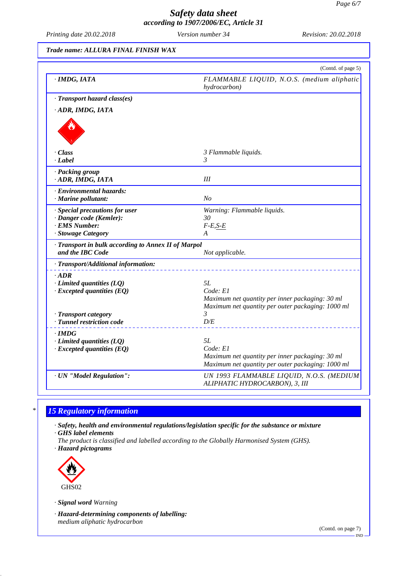*Printing date 20.02.2018 Version number 34 Revision: 20.02.2018*

## *Trade name: ALLURA FINAL FINISH WAX*

| · IMDG, IATA                                                          | FLAMMABLE LIQUID, N.O.S. (medium aliphatic<br>hydrocarbon)         |
|-----------------------------------------------------------------------|--------------------------------------------------------------------|
| · Transport hazard class(es)                                          |                                                                    |
| ADR, IMDG, IATA                                                       |                                                                    |
|                                                                       |                                                                    |
| · Class                                                               | 3 Flammable liquids.                                               |
| · Label                                                               | 3                                                                  |
| · Packing group                                                       |                                                                    |
| · ADR, IMDG, IATA                                                     | III                                                                |
| · Environmental hazards:                                              |                                                                    |
| · Marine pollutant:                                                   | N <sub>O</sub>                                                     |
| · Special precautions for user                                        | Warning: Flammable liquids.                                        |
| · Danger code (Kemler):                                               | 30                                                                 |
| <b>EMS Number:</b><br>· Stowage Category                              | $F-E, S-E$<br>A                                                    |
|                                                                       |                                                                    |
| Transport in bulk according to Annex II of Marpol<br>and the IBC Code | Not applicable.                                                    |
| · Transport/Additional information:                                   |                                                                    |
| $\cdot$ ADR                                                           |                                                                    |
| $\cdot$ Limited quantities (LQ)                                       | 5L                                                                 |
| $\cdot$ Excepted quantities (EQ)                                      | Code: E1                                                           |
|                                                                       | Maximum net quantity per inner packaging: 30 ml                    |
| · Transport category                                                  | Maximum net quantity per outer packaging: 1000 ml<br>$\mathcal{R}$ |
| · Tunnel restriction code                                             | D/E                                                                |
| · IMDG                                                                |                                                                    |
| $\cdot$ Limited quantities (LQ)                                       | 5L                                                                 |
| $\cdot$ Excepted quantities (EQ)                                      | Code: El                                                           |
|                                                                       | Maximum net quantity per inner packaging: 30 ml                    |
|                                                                       | Maximum net quantity per outer packaging: 1000 ml                  |
| · UN "Model Regulation":                                              | UN 1993 FLAMMABLE LIQUID, N.O.S. (MEDIUM                           |

## *\* 15 Regulatory information*

*· Safety, health and environmental regulations/legislation specific for the substance or mixture · GHS label elements*

*The product is classified and labelled according to the Globally Harmonised System (GHS).*

*· Hazard pictograms*



*· Signal word Warning*

*· Hazard-determining components of labelling: medium aliphatic hydrocarbon*

(Contd. on page 7)

IND